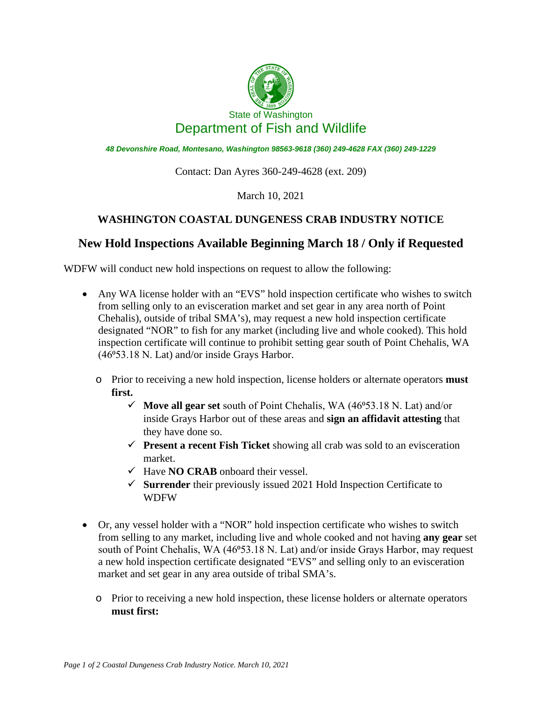

*48 Devonshire Road, Montesano, Washington 98563-9618 (360) 249-4628 FAX (360) 249-1229*

Contact: Dan Ayres 360-249-4628 (ext. 209)

March 10, 2021

## **WASHINGTON COASTAL DUNGENESS CRAB INDUSTRY NOTICE**

## **New Hold Inspections Available Beginning March 18 / Only if Requested**

WDFW will conduct new hold inspections on request to allow the following:

- Any WA license holder with an "EVS" hold inspection certificate who wishes to switch from selling only to an evisceration market and set gear in any area north of Point Chehalis), outside of tribal SMA's), may request a new hold inspection certificate designated "NOR" to fish for any market (including live and whole cooked). This hold inspection certificate will continue to prohibit setting gear south of Point Chehalis, WA (46°53.18 N. Lat) and/or inside Grays Harbor.
	- o Prior to receiving a new hold inspection, license holders or alternate operators **must first.**
		- $\checkmark$  **Move all gear set** south of Point Chehalis, WA (46 $\checkmark$ 53.18 N. Lat) and/or inside Grays Harbor out of these areas and **sign an affidavit attesting** that they have done so.
		- **Present a recent Fish Ticket** showing all crab was sold to an evisceration market.
		- $\checkmark$  Have **NO CRAB** onboard their vessel.
		- **Surrender** their previously issued 2021 Hold Inspection Certificate to WDFW
- Or, any vessel holder with a "NOR" hold inspection certificate who wishes to switch from selling to any market, including live and whole cooked and not having **any gear** set south of Point Chehalis, WA (46°53.18 N. Lat) and/or inside Grays Harbor, may request a new hold inspection certificate designated "EVS" and selling only to an evisceration market and set gear in any area outside of tribal SMA's.
	- o Prior to receiving a new hold inspection, these license holders or alternate operators **must first:**